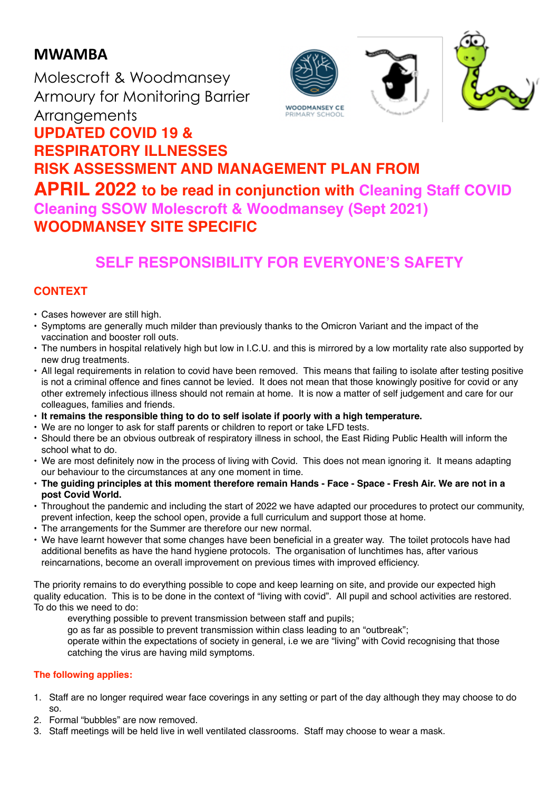# **MWAMBA**

Molescroft & Woodmansey Armoury for Monitoring Barrier **Arrangements UPDATED COVID 19 &** 



# **RESPIRATORY ILLNESSES RISK ASSESSMENT AND MANAGEMENT PLAN FROM APRIL 2022 to be read in conjunction with Cleaning Staff COVID Cleaning SSOW Molescroft & Woodmansey (Sept 2021) WOODMANSEY SITE SPECIFIC**

# **SELF RESPONSIBILITY FOR EVERYONE'S SAFETY**

# **CONTEXT**

- Cases however are still high.
- Symptoms are generally much milder than previously thanks to the Omicron Variant and the impact of the vaccination and booster roll outs.
- The numbers in hospital relatively high but low in I.C.U. and this is mirrored by a low mortality rate also supported by new drug treatments.
- All legal requirements in relation to covid have been removed. This means that failing to isolate after testing positive is not a criminal offence and fines cannot be levied. It does not mean that those knowingly positive for covid or any other extremely infectious illness should not remain at home. It is now a matter of self judgement and care for our colleagues, families and friends.
- **It remains the responsible thing to do to self isolate if poorly with a high temperature.**
- We are no longer to ask for staff parents or children to report or take LFD tests.
- Should there be an obvious outbreak of respiratory illness in school, the East Riding Public Health will inform the school what to do.
- We are most definitely now in the process of living with Covid. This does not mean ignoring it. It means adapting our behaviour to the circumstances at any one moment in time.
- **• The guiding principles at this moment therefore remain Hands Face Space Fresh Air. We are not in a post Covid World.**
- Throughout the pandemic and including the start of 2022 we have adapted our procedures to protect our community, prevent infection, keep the school open, provide a full curriculum and support those at home.
- The arrangements for the Summer are therefore our new normal.
- We have learnt however that some changes have been beneficial in a greater way. The toilet protocols have had additional benefits as have the hand hygiene protocols. The organisation of lunchtimes has, after various reincarnations, become an overall improvement on previous times with improved efficiency.

The priority remains to do everything possible to cope and keep learning on site, and provide our expected high quality education. This is to be done in the context of "living with covid". All pupil and school activities are restored. To do this we need to do:

- everything possible to prevent transmission between staff and pupils;
- go as far as possible to prevent transmission within class leading to an "outbreak";

operate within the expectations of society in general, i.e we are "living" with Covid recognising that those catching the virus are having mild symptoms.

#### **The following applies:**

- 1. Staff are no longer required wear face coverings in any setting or part of the day although they may choose to do so.
- 2. Formal "bubbles" are now removed.
- 3. Staff meetings will be held live in well ventilated classrooms. Staff may choose to wear a mask.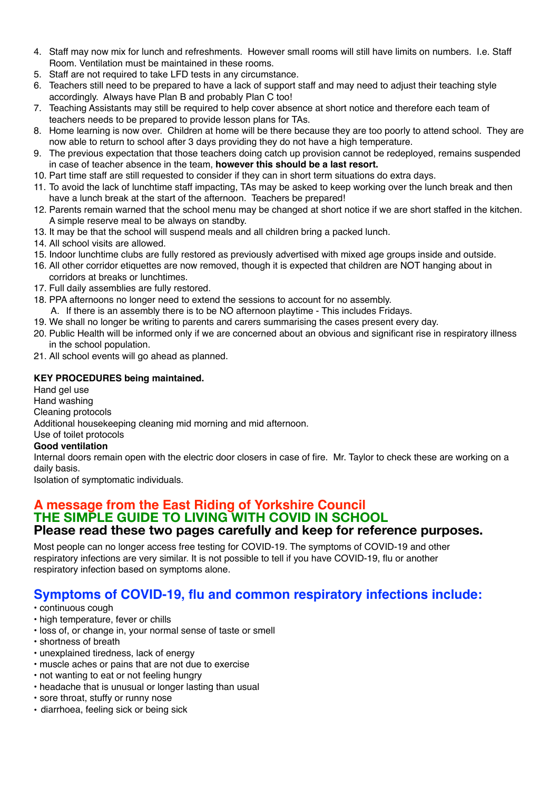- 4. Staff may now mix for lunch and refreshments. However small rooms will still have limits on numbers. I.e. Staff Room. Ventilation must be maintained in these rooms.
- 5. Staff are not required to take LFD tests in any circumstance.
- 6. Teachers still need to be prepared to have a lack of support staff and may need to adjust their teaching style accordingly. Always have Plan B and probably Plan C too!
- 7. Teaching Assistants may still be required to help cover absence at short notice and therefore each team of teachers needs to be prepared to provide lesson plans for TAs.
- 8. Home learning is now over. Children at home will be there because they are too poorly to attend school. They are now able to return to school after 3 days providing they do not have a high temperature.
- 9. The previous expectation that those teachers doing catch up provision cannot be redeployed, remains suspended in case of teacher absence in the team, **however this should be a last resort.**
- 10. Part time staff are still requested to consider if they can in short term situations do extra days.
- 11. To avoid the lack of lunchtime staff impacting, TAs may be asked to keep working over the lunch break and then have a lunch break at the start of the afternoon. Teachers be prepared!
- 12. Parents remain warned that the school menu may be changed at short notice if we are short staffed in the kitchen. A simple reserve meal to be always on standby.
- 13. It may be that the school will suspend meals and all children bring a packed lunch.
- 14. All school visits are allowed.
- 15. Indoor lunchtime clubs are fully restored as previously advertised with mixed age groups inside and outside.
- 16. All other corridor etiquettes are now removed, though it is expected that children are NOT hanging about in corridors at breaks or lunchtimes.
- 17. Full daily assemblies are fully restored.
- 18. PPA afternoons no longer need to extend the sessions to account for no assembly.
- A. If there is an assembly there is to be NO afternoon playtime This includes Fridays.
- 19. We shall no longer be writing to parents and carers summarising the cases present every day.
- 20. Public Health will be informed only if we are concerned about an obvious and significant rise in respiratory illness in the school population.
- 21. All school events will go ahead as planned.

#### **KEY PROCEDURES being maintained.**

Hand gel use Hand washing Cleaning protocols Additional housekeeping cleaning mid morning and mid afternoon. Use of toilet protocols **Good ventilation** Internal doors remain open with the electric door closers in case of fire. Mr. Taylor to check these are working on a daily basis.

Isolation of symptomatic individuals.

#### **A message from the East Riding of Yorkshire Council THE SIMPLE GUIDE TO LIVING WITH COVID IN SCHOOL Please read these two pages carefully and keep for reference purposes.**

Most people can no longer access free testing for COVID-19. The symptoms of COVID-19 and other respiratory infections are very similar. It is not possible to tell if you have COVID-19, flu or another respiratory infection based on symptoms alone.

# **Symptoms of COVID-19, flu and common respiratory infections include:**

#### • continuous cough

- high temperature, fever or chills
- loss of, or change in, your normal sense of taste or smell
- shortness of breath
- unexplained tiredness, lack of energy
- muscle aches or pains that are not due to exercise
- not wanting to eat or not feeling hungry
- headache that is unusual or longer lasting than usual
- sore throat, stuffy or runny nose
- diarrhoea, feeling sick or being sick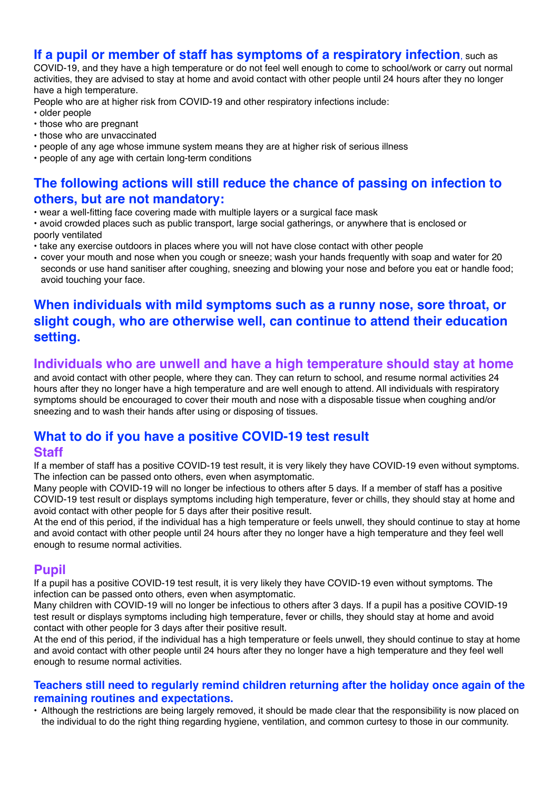### **If a pupil or member of staff has symptoms of a respiratory infection**, such as

COVID-19, and they have a high temperature or do not feel well enough to come to school/work or carry out normal activities, they are advised to stay at home and avoid contact with other people until 24 hours after they no longer have a high temperature.

People who are at higher risk from COVID-19 and other respiratory infections include:

- older people
- those who are pregnant
- those who are unvaccinated
- people of any age whose immune system means they are at higher risk of serious illness
- people of any age with certain long-term conditions

# **The following actions will still reduce the chance of passing on infection to others, but are not mandatory:**

• wear a well-fitting face covering made with multiple layers or a surgical face mask

- avoid crowded places such as public transport, large social gatherings, or anywhere that is enclosed or poorly ventilated
- take any exercise outdoors in places where you will not have close contact with other people
- cover your mouth and nose when you cough or sneeze; wash your hands frequently with soap and water for 20 seconds or use hand sanitiser after coughing, sneezing and blowing your nose and before you eat or handle food; avoid touching your face.

# **When individuals with mild symptoms such as a runny nose, sore throat, or slight cough, who are otherwise well, can continue to attend their education setting.**

### **Individuals who are unwell and have a high temperature should stay at home**

and avoid contact with other people, where they can. They can return to school, and resume normal activities 24 hours after they no longer have a high temperature and are well enough to attend. All individuals with respiratory symptoms should be encouraged to cover their mouth and nose with a disposable tissue when coughing and/or sneezing and to wash their hands after using or disposing of tissues.

# **What to do if you have a positive COVID-19 test result**

### **Staff**

If a member of staff has a positive COVID-19 test result, it is very likely they have COVID-19 even without symptoms. The infection can be passed onto others, even when asymptomatic.

Many people with COVID-19 will no longer be infectious to others after 5 days. If a member of staff has a positive COVID-19 test result or displays symptoms including high temperature, fever or chills, they should stay at home and avoid contact with other people for 5 days after their positive result.

At the end of this period, if the individual has a high temperature or feels unwell, they should continue to stay at home and avoid contact with other people until 24 hours after they no longer have a high temperature and they feel well enough to resume normal activities.

### **Pupil**

If a pupil has a positive COVID-19 test result, it is very likely they have COVID-19 even without symptoms. The infection can be passed onto others, even when asymptomatic.

Many children with COVID-19 will no longer be infectious to others after 3 days. If a pupil has a positive COVID-19 test result or displays symptoms including high temperature, fever or chills, they should stay at home and avoid contact with other people for 3 days after their positive result.

At the end of this period, if the individual has a high temperature or feels unwell, they should continue to stay at home and avoid contact with other people until 24 hours after they no longer have a high temperature and they feel well enough to resume normal activities.

#### **Teachers still need to regularly remind children returning after the holiday once again of the remaining routines and expectations.**

• Although the restrictions are being largely removed, it should be made clear that the responsibility is now placed on the individual to do the right thing regarding hygiene, ventilation, and common curtesy to those in our community.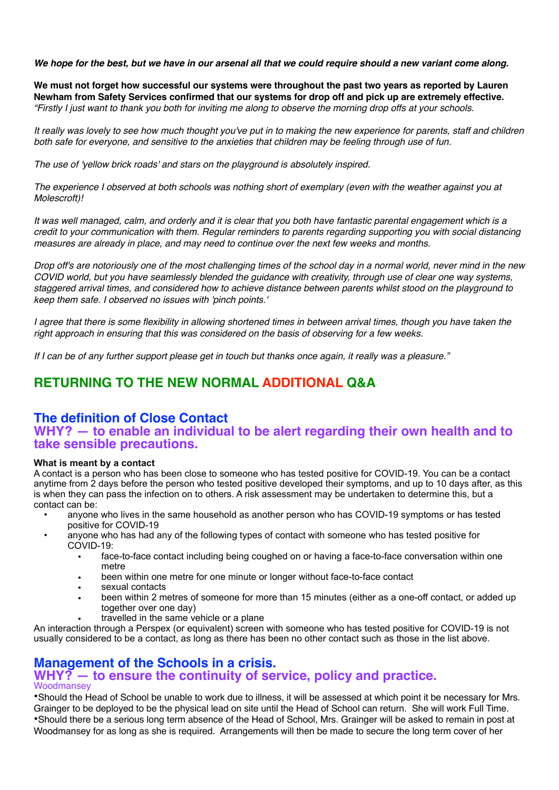*We hope for the best, but we have in our arsenal all that we could require should a new variant come along.*

**We must not forget how successful our systems were throughout the past two years as reported by Lauren Newham from Safety Services confirmed that our systems for drop off and pick up are extremely effective.** *"Firstly I just want to thank you both for inviting me along to observe the morning drop offs at your schools.*

*It really was lovely to see how much thought you've put in to making the new experience for parents, staff and children both safe for everyone, and sensitive to the anxieties that children may be feeling through use of fun.*

*The use of 'yellow brick roads' and stars on the playground is absolutely inspired.*

*The experience I observed at both schools was nothing short of exemplary (even with the weather against you at Molescroft)!*

*It was well managed, calm, and orderly and it is clear that you both have fantastic parental engagement which is a credit to your communication with them. Regular reminders to parents regarding supporting you with social distancing measures are already in place, and may need to continue over the next few weeks and months.*

*Drop off's are notoriously one of the most challenging times of the school day in a normal world, never mind in the new COVID world, but you have seamlessly blended the guidance with creativity, through use of clear one way systems, staggered arrival times, and considered how to achieve distance between parents whilst stood on the playground to keep them safe. I observed no issues with 'pinch points.'*

*I agree that there is some flexibility in allowing shortened times in between arrival times, though you have taken the right approach in ensuring that this was considered on the basis of observing for a few weeks.*

*If I can be of any further support please get in touch but thanks once again, it really was a pleasure."*

# **RETURNING TO THE NEW NORMAL ADDITIONAL Q&A**

# **The definition of Close Contact**

### **WHY? — to enable an individual to be alert regarding their own health and to take sensible precautions.**

#### **What is meant by a contact**

A contact is a person who has been close to someone who has tested positive for COVID-19. You can be a contact anytime from 2 days before the person who tested positive developed their symptoms, and up to 10 days after, as this is when they can pass the infection on to others. A risk assessment may be undertaken to determine this, but a contact can be:

- anyone who lives in the same household as another person who has COVID-19 symptoms or has tested positive for COVID-19
- anyone who has had any of the following types of contact with someone who has tested positive for COVID-19:
	- face-to-face contact including being coughed on or having a face-to-face conversation within one metre
	- been within one metre for one minute or longer without face-to-face contact
	- sexual contacts
	- been within 2 metres of someone for more than 15 minutes (either as a one-off contact, or added up together over one day)
	- travelled in the same vehicle or a plane

An interaction through a Perspex (or equivalent) screen with someone who has tested positive for COVID-19 is not usually considered to be a contact, as long as there has been no other contact such as those in the list above.

### **Management of the Schools in a crisis.**

#### **WHY? — to ensure the continuity of service, policy and practice. Woodmansey**

•Should the Head of School be unable to work due to illness, it will be assessed at which point it be necessary for Mrs. Grainger to be deployed to be the physical lead on site until the Head of School can return. She will work Full Time. •Should there be a serious long term absence of the Head of School, Mrs. Grainger will be asked to remain in post at Woodmansey for as long as she is required. Arrangements will then be made to secure the long term cover of her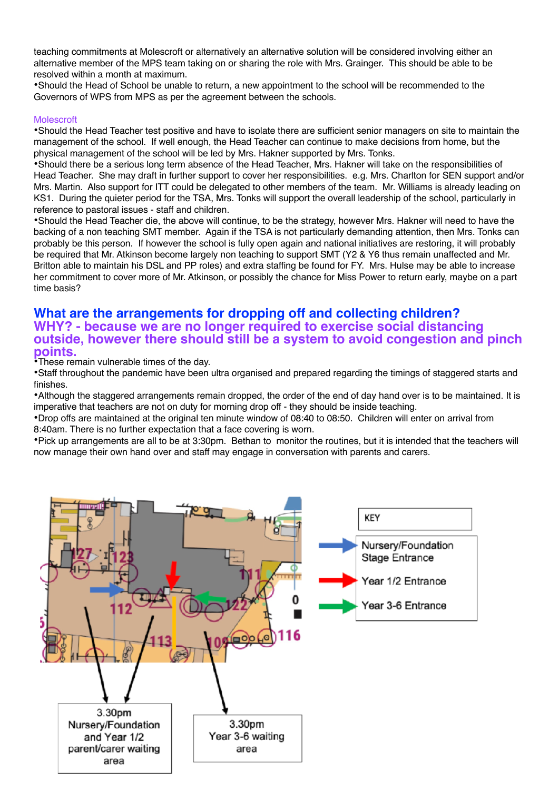teaching commitments at Molescroft or alternatively an alternative solution will be considered involving either an alternative member of the MPS team taking on or sharing the role with Mrs. Grainger. This should be able to be resolved within a month at maximum.

•Should the Head of School be unable to return, a new appointment to the school will be recommended to the Governors of WPS from MPS as per the agreement between the schools.

#### Molescroft

•Should the Head Teacher test positive and have to isolate there are sufficient senior managers on site to maintain the management of the school. If well enough, the Head Teacher can continue to make decisions from home, but the physical management of the school will be led by Mrs. Hakner supported by Mrs. Tonks.

•Should there be a serious long term absence of the Head Teacher, Mrs. Hakner will take on the responsibilities of Head Teacher. She may draft in further support to cover her responsibilities. e.g. Mrs. Charlton for SEN support and/or Mrs. Martin. Also support for ITT could be delegated to other members of the team. Mr. Williams is already leading on KS1. During the quieter period for the TSA, Mrs. Tonks will support the overall leadership of the school, particularly in reference to pastoral issues - staff and children.

•Should the Head Teacher die, the above will continue, to be the strategy, however Mrs. Hakner will need to have the backing of a non teaching SMT member. Again if the TSA is not particularly demanding attention, then Mrs. Tonks can probably be this person. If however the school is fully open again and national initiatives are restoring, it will probably be required that Mr. Atkinson become largely non teaching to support SMT (Y2 & Y6 thus remain unaffected and Mr. Britton able to maintain his DSL and PP roles) and extra staffing be found for FY. Mrs. Hulse may be able to increase her commitment to cover more of Mr. Atkinson, or possibly the chance for Miss Power to return early, maybe on a part time basis?

#### **What are the arrangements for dropping off and collecting children? WHY? - because we are no longer required to exercise social distancing outside, however there should still be a system to avoid congestion and pinch points.**

•These remain vulnerable times of the day.

•Staff throughout the pandemic have been ultra organised and prepared regarding the timings of staggered starts and finishes.

•Although the staggered arrangements remain dropped, the order of the end of day hand over is to be maintained. It is imperative that teachers are not on duty for morning drop off - they should be inside teaching.

•Drop offs are maintained at the original ten minute window of 08:40 to 08:50. Children will enter on arrival from 8:40am. There is no further expectation that a face covering is worn.

•Pick up arrangements are all to be at 3:30pm. Bethan to monitor the routines, but it is intended that the teachers will now manage their own hand over and staff may engage in conversation with parents and carers.

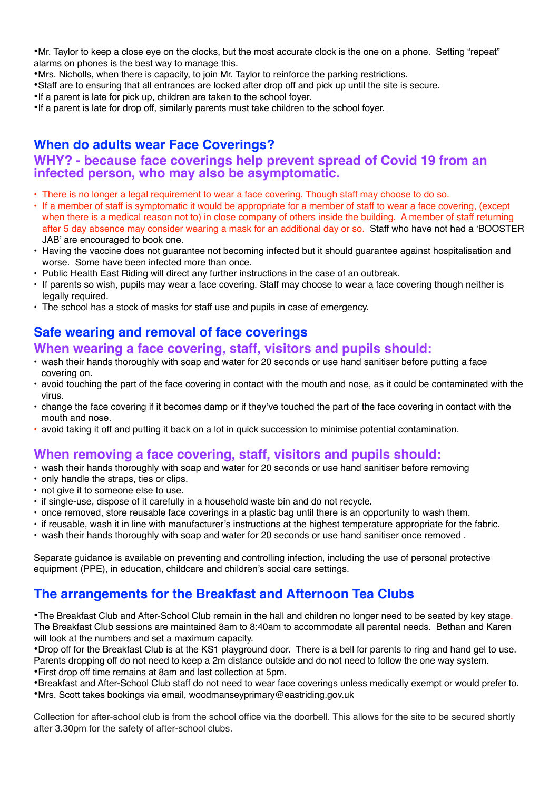•Mr. Taylor to keep a close eye on the clocks, but the most accurate clock is the one on a phone. Setting "repeat" alarms on phones is the best way to manage this.

•Mrs. Nicholls, when there is capacity, to join Mr. Taylor to reinforce the parking restrictions.

•Staff are to ensuring that all entrances are locked after drop off and pick up until the site is secure.

•If a parent is late for pick up, children are taken to the school foyer.

•If a parent is late for drop off, similarly parents must take children to the school foyer.

# **When do adults wear Face Coverings?**

## **WHY? - because face coverings help prevent spread of Covid 19 from an infected person, who may also be asymptomatic.**

- There is no longer a legal requirement to wear a face covering. Though staff may choose to do so.
- If a member of staff is symptomatic it would be appropriate for a member of staff to wear a face covering, (except when there is a medical reason not to) in close company of others inside the building. A member of staff returning after 5 day absence may consider wearing a mask for an additional day or so. Staff who have not had a 'BOOSTER JAB' are encouraged to book one.
- Having the vaccine does not guarantee not becoming infected but it should guarantee against hospitalisation and worse. Some have been infected more than once.
- Public Health East Riding will direct any further instructions in the case of an outbreak.
- If parents so wish, pupils may wear a face covering. Staff may choose to wear a face covering though neither is legally required.
- The school has a stock of masks for staff use and pupils in case of emergency.

# **Safe wearing and removal of face coverings**

### **When wearing a face covering, staff, visitors and pupils should:**

- wash their hands thoroughly with soap and water for 20 seconds or use hand sanitiser before putting a face covering on.
- avoid touching the part of the face covering in contact with the mouth and nose, as it could be contaminated with the virus.
- change the face covering if it becomes damp or if they've touched the part of the face covering in contact with the mouth and nose.
- avoid taking it off and putting it back on a lot in quick succession to minimise potential contamination.

# **When removing a face covering, staff, visitors and pupils should:**

- wash their hands thoroughly with soap and water for 20 seconds or use hand sanitiser before removing
- only handle the straps, ties or clips.
- not give it to someone else to use.
- if single-use, dispose of it carefully in a household waste bin and do not recycle.
- once removed, store reusable face coverings in a plastic bag until there is an opportunity to wash them.
- if reusable, wash it in line with manufacturer's instructions at the highest temperature appropriate for the fabric.
- wash their hands thoroughly with soap and water for 20 seconds or use hand sanitiser once removed .

Separate guidance is available on preventing and controlling infection, including the use of personal protective equipment (PPE), in education, childcare and children's social care settings.

# **The arrangements for the Breakfast and Afternoon Tea Clubs**

•The Breakfast Club and After-School Club remain in the hall and children no longer need to be seated by key stage. The Breakfast Club sessions are maintained 8am to 8:40am to accommodate all parental needs. Bethan and Karen will look at the numbers and set a maximum capacity.

•Drop off for the Breakfast Club is at the KS1 playground door. There is a bell for parents to ring and hand gel to use. Parents dropping off do not need to keep a 2m distance outside and do not need to follow the one way system. •First drop off time remains at 8am and last collection at 5pm.

•Breakfast and After-School Club staff do not need to wear face coverings unless medically exempt or would prefer to. •Mrs. Scott takes bookings via email, woodmanseyprimary@eastriding.gov.uk

Collection for after-school club is from the school office via the doorbell. This allows for the site to be secured shortly after 3.30pm for the safety of after-school clubs.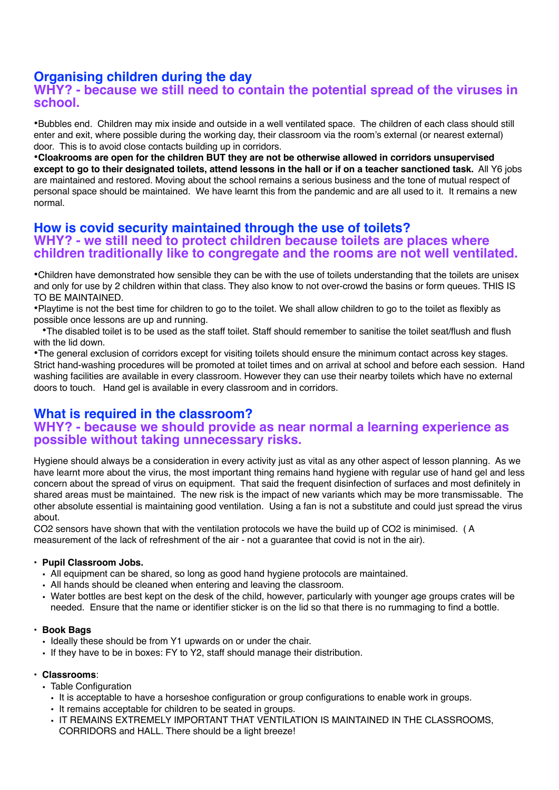# **Organising children during the day**

### **WHY? - because we still need to contain the potential spread of the viruses in school.**

•Bubbles end. Children may mix inside and outside in a well ventilated space. The children of each class should still enter and exit, where possible during the working day, their classroom via the room's external (or nearest external) door. This is to avoid close contacts building up in corridors.

•**Cloakrooms are open for the children BUT they are not be otherwise allowed in corridors unsupervised except to go to their designated toilets, attend lessons in the hall or if on a teacher sanctioned task.** All Y6 jobs are maintained and restored. Moving about the school remains a serious business and the tone of mutual respect of personal space should be maintained. We have learnt this from the pandemic and are all used to it. It remains a new normal.

### **How is covid security maintained through the use of toilets? WHY? - we still need to protect children because toilets are places where children traditionally like to congregate and the rooms are not well ventilated.**

•Children have demonstrated how sensible they can be with the use of toilets understanding that the toilets are unisex and only for use by 2 children within that class. They also know to not over-crowd the basins or form queues. THIS IS TO BE MAINTAINED.

•Playtime is not the best time for children to go to the toilet. We shall allow children to go to the toilet as flexibly as possible once lessons are up and running.

•The disabled toilet is to be used as the staff toilet. Staff should remember to sanitise the toilet seat/flush and flush with the lid down.

•The general exclusion of corridors except for visiting toilets should ensure the minimum contact across key stages. Strict hand-washing procedures will be promoted at toilet times and on arrival at school and before each session. Hand washing facilities are available in every classroom. However they can use their nearby toilets which have no external doors to touch. Hand gel is available in every classroom and in corridors.

### **What is required in the classroom? WHY? - because we should provide as near normal a learning experience as possible without taking unnecessary risks.**

Hygiene should always be a consideration in every activity just as vital as any other aspect of lesson planning. As we have learnt more about the virus, the most important thing remains hand hygiene with regular use of hand gel and less concern about the spread of virus on equipment. That said the frequent disinfection of surfaces and most definitely in shared areas must be maintained. The new risk is the impact of new variants which may be more transmissable. The other absolute essential is maintaining good ventilation. Using a fan is not a substitute and could just spread the virus about.

CO2 sensors have shown that with the ventilation protocols we have the build up of CO2 is minimised. ( A measurement of the lack of refreshment of the air - not a guarantee that covid is not in the air).

#### **• Pupil Classroom Jobs.**

- All equipment can be shared, so long as good hand hygiene protocols are maintained.
- All hands should be cleaned when entering and leaving the classroom.
- Water bottles are best kept on the desk of the child, however, particularly with younger age groups crates will be needed. Ensure that the name or identifier sticker is on the lid so that there is no rummaging to find a bottle.

#### **• Book Bags**

- Ideally these should be from Y1 upwards on or under the chair.
- If they have to be in boxes: FY to Y2, staff should manage their distribution.

#### • **Classrooms**:

- Table Configuration
	- It is acceptable to have a horseshoe configuration or group configurations to enable work in groups.
	- It remains acceptable for children to be seated in groups.
	- IT REMAINS EXTREMELY IMPORTANT THAT VENTILATION IS MAINTAINED IN THE CLASSROOMS, CORRIDORS and HALL. There should be a light breeze!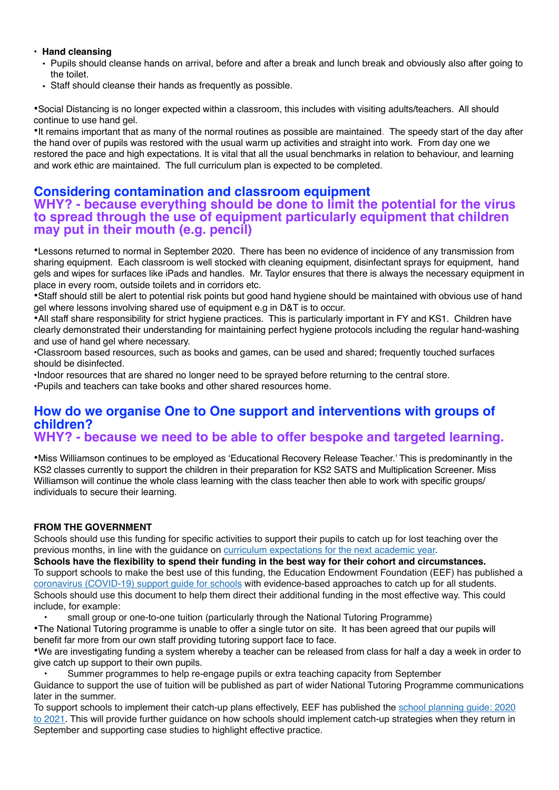#### **• Hand cleansing**

- Pupils should cleanse hands on arrival, before and after a break and lunch break and obviously also after going to the toilet.
- Staff should cleanse their hands as frequently as possible.

•Social Distancing is no longer expected within a classroom, this includes with visiting adults/teachers. All should continue to use hand gel.

•It remains important that as many of the normal routines as possible are maintained. The speedy start of the day after the hand over of pupils was restored with the usual warm up activities and straight into work. From day one we restored the pace and high expectations. It is vital that all the usual benchmarks in relation to behaviour, and learning and work ethic are maintained. The full curriculum plan is expected to be completed.

## **Considering contamination and classroom equipment**

### **WHY? - because everything should be done to limit the potential for the virus to spread through the use of equipment particularly equipment that children may put in their mouth (e.g. pencil)**

•Lessons returned to normal in September 2020. There has been no evidence of incidence of any transmission from sharing equipment. Each classroom is well stocked with cleaning equipment, disinfectant sprays for equipment, hand gels and wipes for surfaces like iPads and handles. Mr. Taylor ensures that there is always the necessary equipment in place in every room, outside toilets and in corridors etc.

•Staff should still be alert to potential risk points but good hand hygiene should be maintained with obvious use of hand gel where lessons involving shared use of equipment e.g in D&T is to occur.

•All staff share responsibility for strict hygiene practices. This is particularly important in FY and KS1. Children have clearly demonstrated their understanding for maintaining perfect hygiene protocols including the regular hand-washing and use of hand gel where necessary.

•Classroom based resources, such as books and games, can be used and shared; frequently touched surfaces should be disinfected.

•Indoor resources that are shared no longer need to be sprayed before returning to the central store.

•Pupils and teachers can take books and other shared resources home.

### **How do we organise One to One support and interventions with groups of children? WHY? - because we need to be able to offer bespoke and targeted learning.**

•Miss Williamson continues to be employed as 'Educational Recovery Release Teacher.' This is predominantly in the KS2 classes currently to support the children in their preparation for KS2 SATS and Multiplication Screener. Miss Williamson will continue the whole class learning with the class teacher then able to work with specific groups/ individuals to secure their learning.

#### **FROM THE GOVERNMENT**

Schools should use this funding for specific activities to support their pupils to catch up for lost teaching over the previous months, in line with the guidance on [curriculum expectations for the next academic year.](https://www.gov.uk/government/publications/actions-for-schools-during-the-coronavirus-outbreak/guidance-for-full-opening-schools#section-3-curriculum-behaviour-and-pastoral-support)

**Schools have the flexibility to spend their funding in the best way for their cohort and circumstances.** To support schools to make the best use of this funding, the Education Endowment Foundation (EEF) has published a [coronavirus \(COVID-19\) support guide for schools](https://educationendowmentfoundation.org.uk/covid-19-resources/covid-19-support-guide-for-schools/#nav-covid-19-support-guide-for-schools1) with evidence-based approaches to catch up for all students. Schools should use this document to help them direct their additional funding in the most effective way. This could include, for example:

• small group or one-to-one tuition (particularly through the National Tutoring Programme)

•The National Tutoring programme is unable to offer a single tutor on site. It has been agreed that our pupils will benefit far more from our own staff providing tutoring support face to face.

•We are investigating funding a system whereby a teacher can be released from class for half a day a week in order to give catch up support to their own pupils.

• Summer programmes to help re-engage pupils or extra teaching capacity from September

Guidance to support the use of tuition will be published as part of wider National Tutoring Programme communications later in the summer.

To support schools to implement their catch-up plans effectively, EEF has published the [school planning guide: 2020](https://educationendowmentfoundation.org.uk/covid-19-resources/guide-to-supporting-schools-planning/)  [to 2021](https://educationendowmentfoundation.org.uk/covid-19-resources/guide-to-supporting-schools-planning/). This will provide further guidance on how schools should implement catch-up strategies when they return in September and supporting case studies to highlight effective practice.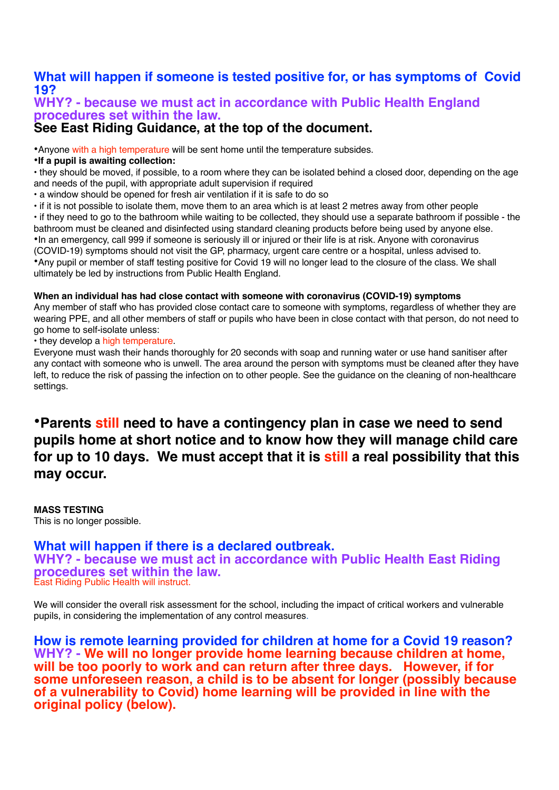# **What will happen if someone is tested positive for, or has symptoms of Covid 19?**

### **WHY? - because we must act in accordance with Public Health England procedures set within the law.**

# **See East Riding Guidance, at the top of the document.**

•Anyone with a high temperature will be sent home until the temperature subsides.

•**If a pupil is awaiting collection:**

• they should be moved, if possible, to a room where they can be isolated behind a closed door, depending on the age and needs of the pupil, with appropriate adult supervision if required

- a window should be opened for fresh air ventilation if it is safe to do so
- if it is not possible to isolate them, move them to an area which is at least 2 metres away from other people

• if they need to go to the bathroom while waiting to be collected, they should use a separate bathroom if possible - the bathroom must be cleaned and disinfected using standard cleaning products before being used by anyone else. •In an emergency, call 999 if someone is seriously ill or injured or their life is at risk. Anyone with coronavirus (COVID-19) symptoms should not visit the GP, pharmacy, urgent care centre or a hospital, unless advised to. •Any pupil or member of staff testing positive for Covid 19 will no longer lead to the closure of the class. We shall ultimately be led by instructions from Public Health England.

#### **When an individual has had close contact with someone with coronavirus (COVID-19) symptoms**

Any member of staff who has provided close contact care to someone with symptoms, regardless of whether they are wearing PPE, and all other members of staff or pupils who have been in close contact with that person, do not need to go home to self-isolate unless:

• they develop a high temperature.

Everyone must wash their hands thoroughly for 20 seconds with soap and running water or use hand sanitiser after any contact with someone who is unwell. The area around the person with symptoms must be cleaned after they have left, to reduce the risk of passing the infection on to other people. See the guidance on the cleaning of non-healthcare settings.

# •**Parents still need to have a contingency plan in case we need to send pupils home at short notice and to know how they will manage child care for up to 10 days. We must accept that it is still a real possibility that this may occur.**

**MASS TESTING** This is no longer possible.

#### **What will happen if there is a declared outbreak. WHY? - because we must act in accordance with Public Health East Riding procedures set within the law.** East Riding Public Health will instruct.

We will consider the overall risk assessment for the school, including the impact of critical workers and vulnerable pupils, in considering the implementation of any control measures.

**How is remote learning provided for children at home for a Covid 19 reason? WHY? - We will no longer provide home learning because children at home, will be too poorly to work and can return after three days. However, if for some unforeseen reason, a child is to be absent for longer (possibly because of a vulnerability to Covid) home learning will be provided in line with the original policy (below).**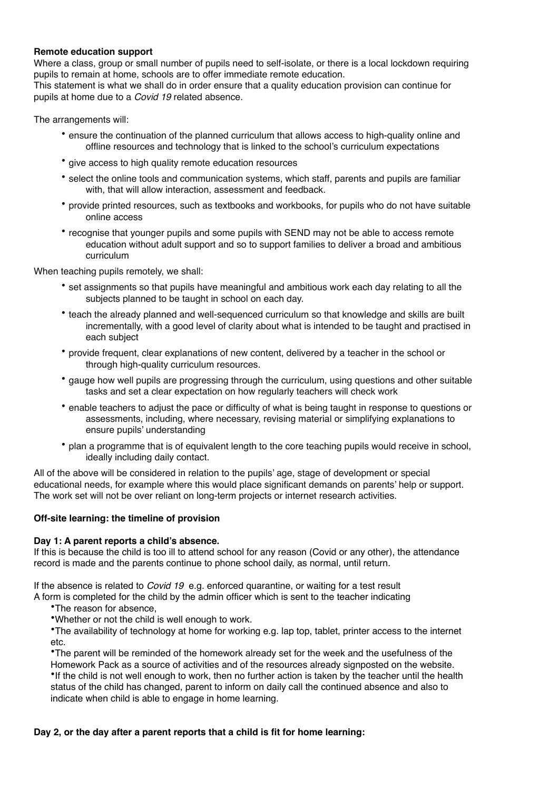#### **Remote education support**

Where a class, group or small number of pupils need to self-isolate, or there is a local lockdown requiring pupils to remain at home, schools are to offer immediate remote education.

This statement is what we shall do in order ensure that a quality education provision can continue for pupils at home due to a *Covid 19* related absence.

The arrangements will:

- ensure the continuation of the planned curriculum that allows access to high-quality online and offline resources and technology that is linked to the school's curriculum expectations
- give access to high quality remote education resources
- select the online tools and communication systems, which staff, parents and pupils are familiar with, that will allow interaction, assessment and feedback.
- provide printed resources, such as textbooks and workbooks, for pupils who do not have suitable online access
- recognise that younger pupils and some pupils with SEND may not be able to access remote education without adult support and so to support families to deliver a broad and ambitious curriculum

When teaching pupils remotely, we shall:

- set assignments so that pupils have meaningful and ambitious work each day relating to all the subjects planned to be taught in school on each day.
- teach the already planned and well-sequenced curriculum so that knowledge and skills are built incrementally, with a good level of clarity about what is intended to be taught and practised in each subject
- provide frequent, clear explanations of new content, delivered by a teacher in the school or through high-quality curriculum resources.
- gauge how well pupils are progressing through the curriculum, using questions and other suitable tasks and set a clear expectation on how regularly teachers will check work
- enable teachers to adjust the pace or difficulty of what is being taught in response to questions or assessments, including, where necessary, revising material or simplifying explanations to ensure pupils' understanding
- plan a programme that is of equivalent length to the core teaching pupils would receive in school, ideally including daily contact.

All of the above will be considered in relation to the pupils' age, stage of development or special educational needs, for example where this would place significant demands on parents' help or support. The work set will not be over reliant on long-term projects or internet research activities.

#### **Off-site learning: the timeline of provision**

#### **Day 1: A parent reports a child's absence.**

If this is because the child is too ill to attend school for any reason (Covid or any other), the attendance record is made and the parents continue to phone school daily, as normal, until return.

If the absence is related to *Covid 19* e.g. enforced quarantine, or waiting for a test result

A form is completed for the child by the admin officer which is sent to the teacher indicating

- •The reason for absence,
- •Whether or not the child is well enough to work.

•The availability of technology at home for working e.g. lap top, tablet, printer access to the internet etc.

•The parent will be reminded of the homework already set for the week and the usefulness of the Homework Pack as a source of activities and of the resources already signposted on the website. •If the child is not well enough to work, then no further action is taken by the teacher until the health status of the child has changed, parent to inform on daily call the continued absence and also to indicate when child is able to engage in home learning.

#### **Day 2, or the day after a parent reports that a child is fit for home learning:**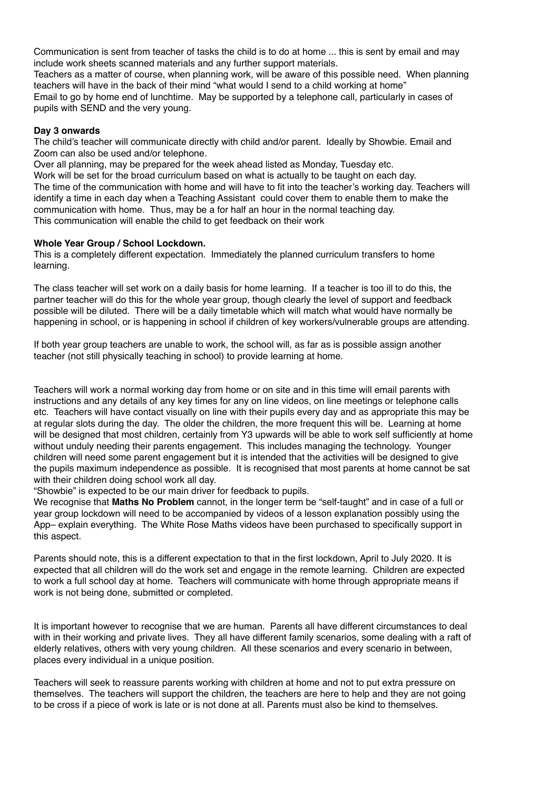Communication is sent from teacher of tasks the child is to do at home ... this is sent by email and may include work sheets scanned materials and any further support materials.

Teachers as a matter of course, when planning work, will be aware of this possible need. When planning teachers will have in the back of their mind "what would I send to a child working at home" Email to go by home end of lunchtime. May be supported by a telephone call, particularly in cases of pupils with SEND and the very young.

#### **Day 3 onwards**

The child's teacher will communicate directly with child and/or parent. Ideally by Showbie. Email and Zoom can also be used and/or telephone.

Over all planning, may be prepared for the week ahead listed as Monday, Tuesday etc. Work will be set for the broad curriculum based on what is actually to be taught on each day. The time of the communication with home and will have to fit into the teacher's working day. Teachers will identify a time in each day when a Teaching Assistant could cover them to enable them to make the communication with home. Thus, may be a for half an hour in the normal teaching day. This communication will enable the child to get feedback on their work

#### **Whole Year Group / School Lockdown.**

This is a completely different expectation. Immediately the planned curriculum transfers to home learning.

The class teacher will set work on a daily basis for home learning. If a teacher is too ill to do this, the partner teacher will do this for the whole year group, though clearly the level of support and feedback possible will be diluted. There will be a daily timetable which will match what would have normally be happening in school, or is happening in school if children of key workers/vulnerable groups are attending.

If both year group teachers are unable to work, the school will, as far as is possible assign another teacher (not still physically teaching in school) to provide learning at home.

Teachers will work a normal working day from home or on site and in this time will email parents with instructions and any details of any key times for any on line videos, on line meetings or telephone calls etc. Teachers will have contact visually on line with their pupils every day and as appropriate this may be at regular slots during the day. The older the children, the more frequent this will be. Learning at home will be designed that most children, certainly from Y3 upwards will be able to work self sufficiently at home without unduly needing their parents engagement. This includes managing the technology. Younger children will need some parent engagement but it is intended that the activities will be designed to give the pupils maximum independence as possible. It is recognised that most parents at home cannot be sat with their children doing school work all day.

"Showbie" is expected to be our main driver for feedback to pupils.

We recognise that **Maths No Problem** cannot, in the longer term be "self-taught" and in case of a full or year group lockdown will need to be accompanied by videos of a lesson explanation possibly using the App– explain everything. The White Rose Maths videos have been purchased to specifically support in this aspect.

Parents should note, this is a different expectation to that in the first lockdown, April to July 2020. It is expected that all children will do the work set and engage in the remote learning. Children are expected to work a full school day at home. Teachers will communicate with home through appropriate means if work is not being done, submitted or completed.

It is important however to recognise that we are human. Parents all have different circumstances to deal with in their working and private lives. They all have different family scenarios, some dealing with a raft of elderly relatives, others with very young children. All these scenarios and every scenario in between, places every individual in a unique position.

Teachers will seek to reassure parents working with children at home and not to put extra pressure on themselves. The teachers will support the children, the teachers are here to help and they are not going to be cross if a piece of work is late or is not done at all. Parents must also be kind to themselves.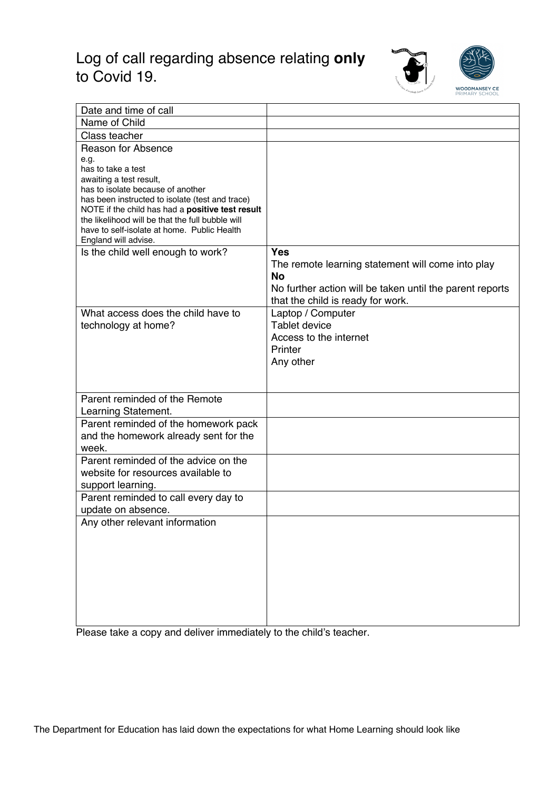# Log of call regarding absence relating **only** to Covid 19.



| Date and time of call                                                      |                                                          |
|----------------------------------------------------------------------------|----------------------------------------------------------|
| Name of Child                                                              |                                                          |
| Class teacher                                                              |                                                          |
| <b>Reason for Absence</b>                                                  |                                                          |
| e.g.                                                                       |                                                          |
| has to take a test                                                         |                                                          |
| awaiting a test result,<br>has to isolate because of another               |                                                          |
| has been instructed to isolate (test and trace)                            |                                                          |
| NOTE if the child has had a positive test result                           |                                                          |
| the likelihood will be that the full bubble will                           |                                                          |
| have to self-isolate at home. Public Health                                |                                                          |
| England will advise.                                                       |                                                          |
| Is the child well enough to work?                                          | <b>Yes</b>                                               |
|                                                                            | The remote learning statement will come into play        |
|                                                                            | <b>No</b>                                                |
|                                                                            | No further action will be taken until the parent reports |
|                                                                            | that the child is ready for work.                        |
| What access does the child have to                                         | Laptop / Computer                                        |
| technology at home?                                                        | <b>Tablet device</b>                                     |
|                                                                            | Access to the internet                                   |
|                                                                            | Printer                                                  |
|                                                                            | Any other                                                |
|                                                                            |                                                          |
|                                                                            |                                                          |
| Parent reminded of the Remote                                              |                                                          |
| Learning Statement.                                                        |                                                          |
| Parent reminded of the homework pack                                       |                                                          |
| and the homework already sent for the<br>week.                             |                                                          |
|                                                                            |                                                          |
| Parent reminded of the advice on the<br>website for resources available to |                                                          |
|                                                                            |                                                          |
| support learning.                                                          |                                                          |
| Parent reminded to call every day to                                       |                                                          |
| update on absence.                                                         |                                                          |
| Any other relevant information                                             |                                                          |
|                                                                            |                                                          |
|                                                                            |                                                          |
|                                                                            |                                                          |
|                                                                            |                                                          |
|                                                                            |                                                          |
|                                                                            |                                                          |
|                                                                            |                                                          |

Please take a copy and deliver immediately to the child's teacher.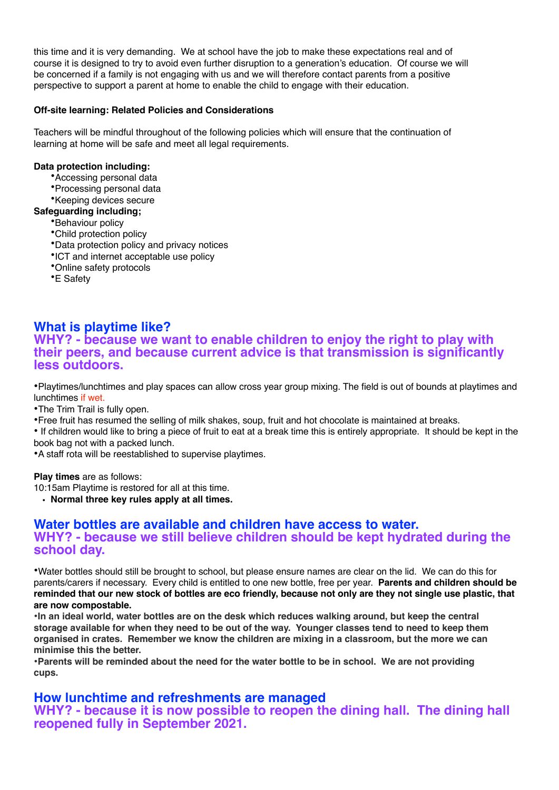this time and it is very demanding. We at school have the job to make these expectations real and of course it is designed to try to avoid even further disruption to a generation's education. Of course we will be concerned if a family is not engaging with us and we will therefore contact parents from a positive perspective to support a parent at home to enable the child to engage with their education.

#### **Off-site learning: Related Policies and Considerations**

Teachers will be mindful throughout of the following policies which will ensure that the continuation of learning at home will be safe and meet all legal requirements.

#### **Data protection including:**

- •Accessing personal data
- •Processing personal data
- •Keeping devices secure

#### **Safeguarding including;**

- •Behaviour policy
- •Child protection policy
- •Data protection policy and privacy notices
- •ICT and internet acceptable use policy
- •Online safety protocols
- •E Safety

# **What is playtime like?**

### **WHY? - because we want to enable children to enjoy the right to play with their peers, and because current advice is that transmission is significantly less outdoors.**

•Playtimes/lunchtimes and play spaces can allow cross year group mixing. The field is out of bounds at playtimes and lunchtimes if wet.

•The Trim Trail is fully open.

•Free fruit has resumed the selling of milk shakes, soup, fruit and hot chocolate is maintained at breaks.

• If children would like to bring a piece of fruit to eat at a break time this is entirely appropriate. It should be kept in the book bag not with a packed lunch.

•A staff rota will be reestablished to supervise playtimes.

**Play times** are as follows:

10:15am Playtime is restored for all at this time.

**• Normal three key rules apply at all times.**

### **Water bottles are available and children have access to water. WHY? - because we still believe children should be kept hydrated during the school day.**

•Water bottles should still be brought to school, but please ensure names are clear on the lid. We can do this for parents/carers if necessary. Every child is entitled to one new bottle, free per year. **Parents and children should be reminded that our new stock of bottles are eco friendly, because not only are they not single use plastic, that are now compostable.**

•**In an ideal world, water bottles are on the desk which reduces walking around, but keep the central storage available for when they need to be out of the way. Younger classes tend to need to keep them organised in crates. Remember we know the children are mixing in a classroom, but the more we can minimise this the better.**

•**Parents will be reminded about the need for the water bottle to be in school. We are not providing cups.**

### **How lunchtime and refreshments are managed**

**WHY? - because it is now possible to reopen the dining hall. The dining hall reopened fully in September 2021.**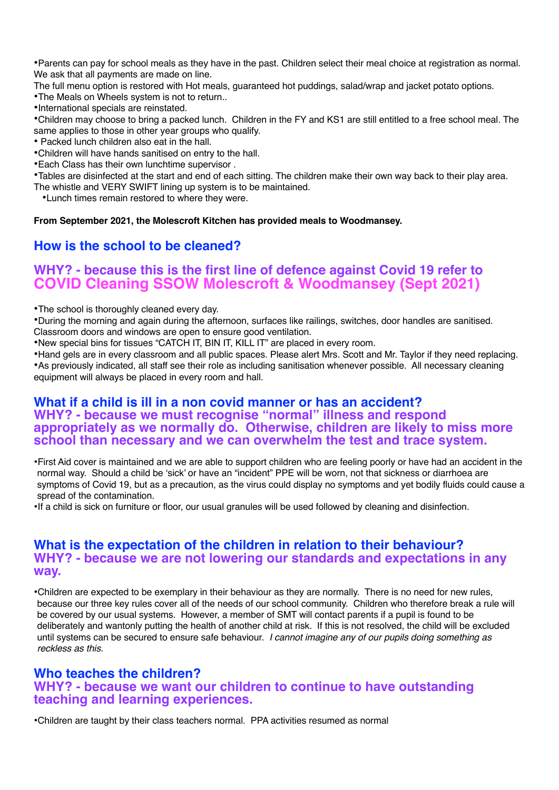•Parents can pay for school meals as they have in the past. Children select their meal choice at registration as normal. We ask that all payments are made on line.

The full menu option is restored with Hot meals, guaranteed hot puddings, salad/wrap and jacket potato options.

•The Meals on Wheels system is not to return..

•International specials are reinstated.

•Children may choose to bring a packed lunch. Children in the FY and KS1 are still entitled to a free school meal. The same applies to those in other year groups who qualify.

• Packed lunch children also eat in the hall.

•Children will have hands sanitised on entry to the hall.

•Each Class has their own lunchtime supervisor .

•Tables are disinfected at the start and end of each sitting. The children make their own way back to their play area.

The whistle and VERY SWIFT lining up system is to be maintained.

•Lunch times remain restored to where they were.

**From September 2021, the Molescroft Kitchen has provided meals to Woodmansey.**

## **How is the school to be cleaned?**

# **WHY? - because this is the first line of defence against Covid 19 refer to COVID Cleaning SSOW Molescroft & Woodmansey (Sept 2021)**

•The school is thoroughly cleaned every day.

•During the morning and again during the afternoon, surfaces like railings, switches, door handles are sanitised. Classroom doors and windows are open to ensure good ventilation.

•New special bins for tissues "CATCH IT, BIN IT, KILL IT" are placed in every room.

•Hand gels are in every classroom and all public spaces. Please alert Mrs. Scott and Mr. Taylor if they need replacing. •As previously indicated, all staff see their role as including sanitisation whenever possible. All necessary cleaning equipment will always be placed in every room and hall.

### **What if a child is ill in a non covid manner or has an accident? WHY? - because we must recognise "normal" illness and respond appropriately as we normally do. Otherwise, children are likely to miss more school than necessary and we can overwhelm the test and trace system.**

•First Aid cover is maintained and we are able to support children who are feeling poorly or have had an accident in the normal way. Should a child be 'sick' or have an "incident" PPE will be worn, not that sickness or diarrhoea are symptoms of Covid 19, but as a precaution, as the virus could display no symptoms and yet bodily fluids could cause a spread of the contamination.

•If a child is sick on furniture or floor, our usual granules will be used followed by cleaning and disinfection.

### **What is the expectation of the children in relation to their behaviour? WHY? - because we are not lowering our standards and expectations in any way.**

•Children are expected to be exemplary in their behaviour as they are normally. There is no need for new rules, because our three key rules cover all of the needs of our school community. Children who therefore break a rule will be covered by our usual systems. However, a member of SMT will contact parents if a pupil is found to be deliberately and wantonly putting the health of another child at risk. If this is not resolved, the child will be excluded until systems can be secured to ensure safe behaviour. *I cannot imagine any of our pupils doing something as reckless as this.*

### **Who teaches the children? WHY? - because we want our children to continue to have outstanding teaching and learning experiences.**

•Children are taught by their class teachers normal. PPA activities resumed as normal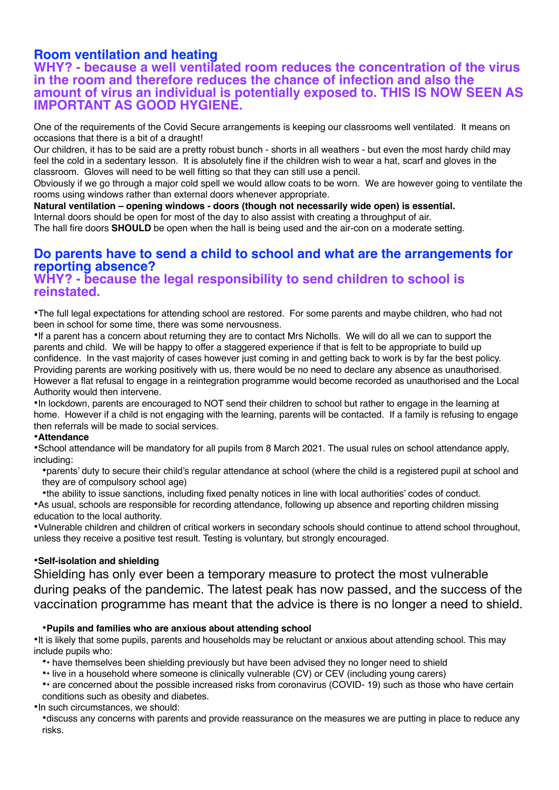## **Room ventilation and heating**

### **WHY? - because a well ventilated room reduces the concentration of the virus in the room and therefore reduces the chance of infection and also the amount of virus an individual is potentially exposed to. THIS IS NOW SEEN AS IMPORTANT AS GOOD HYGIENE.**

One of the requirements of the Covid Secure arrangements is keeping our classrooms well ventilated. It means on occasions that there is a bit of a draught!

Our children, it has to be said are a pretty robust bunch - shorts in all weathers - but even the most hardy child may feel the cold in a sedentary lesson. It is absolutely fine if the children wish to wear a hat, scarf and gloves in the classroom. Gloves will need to be well fitting so that they can still use a pencil.

Obviously if we go through a major cold spell we would allow coats to be worn. We are however going to ventilate the rooms using windows rather than external doors whenever appropriate.

**Natural ventilation – opening windows - doors (though not necessarily wide open) is essential.** Internal doors should be open for most of the day to also assist with creating a throughput of air.

The hall fire doors **SHOULD** be open when the hall is being used and the air-con on a moderate setting.

# **Do parents have to send a child to school and what are the arrangements for reporting absence?**

### **WHY? - because the legal responsibility to send children to school is reinstated.**

•The full legal expectations for attending school are restored. For some parents and maybe children, who had not been in school for some time, there was some nervousness.

•If a parent has a concern about returning they are to contact Mrs Nicholls. We will do all we can to support the parents and child. We will be happy to offer a staggered experience if that is felt to be appropriate to build up confidence. In the vast majority of cases however just coming in and getting back to work is by far the best policy. Providing parents are working positively with us, there would be no need to declare any absence as unauthorised. However a flat refusal to engage in a reintegration programme would become recorded as unauthorised and the Local Authority would then intervene.

•In lockdown, parents are encouraged to NOT send their children to school but rather to engage in the learning at home. However if a child is not engaging with the learning, parents will be contacted. If a family is refusing to engage then referrals will be made to social services.

#### •**Attendance**

•School attendance will be mandatory for all pupils from 8 March 2021. The usual rules on school attendance apply, including:

•parents' duty to secure their child's regular attendance at school (where the child is a registered pupil at school and they are of compulsory school age)

•the ability to issue sanctions, including fixed penalty notices in line with local authorities' codes of conduct. •As usual, schools are responsible for recording attendance, following up absence and reporting children missing education to the local authority.

•Vulnerable children and children of critical workers in secondary schools should continue to attend school throughout, unless they receive a positive test result. Testing is voluntary, but strongly encouraged.

#### •**Self-isolation and shielding**

Shielding has only ever been a temporary measure to protect the most vulnerable during peaks of the pandemic. The latest peak has now passed, and the success of the vaccination programme has meant that the advice is there is no longer a need to shield.

#### •**Pupils and families who are anxious about attending school**

•It is likely that some pupils, parents and households may be reluctant or anxious about attending school. This may include pupils who:

•• have themselves been shielding previously but have been advised they no longer need to shield

•• live in a household where someone is clinically vulnerable (CV) or CEV (including young carers)

• are concerned about the possible increased risks from coronavirus (COVID-19) such as those who have certain conditions such as obesity and diabetes.

•In such circumstances, we should:

•discuss any concerns with parents and provide reassurance on the measures we are putting in place to reduce any risks.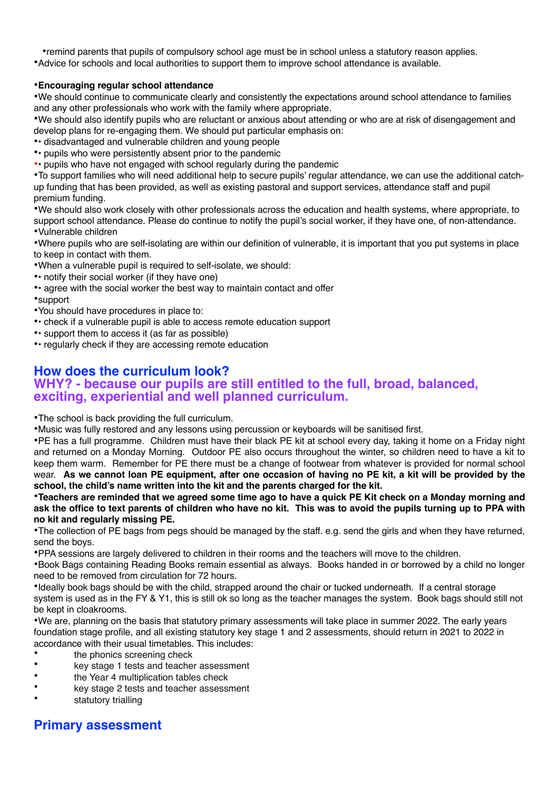•remind parents that pupils of compulsory school age must be in school unless a statutory reason applies. •Advice for schools and local authorities to support them to improve school attendance is available.

#### •**Encouraging regular school attendance**

•We should continue to communicate clearly and consistently the expectations around school attendance to families and any other professionals who work with the family where appropriate.

•We should also identify pupils who are reluctant or anxious about attending or who are at risk of disengagement and develop plans for re-engaging them. We should put particular emphasis on:

- •• disadvantaged and vulnerable children and young people
- •• pupils who were persistently absent prior to the pandemic
- •• pupils who have not engaged with school regularly during the pandemic

•To support families who will need additional help to secure pupils' regular attendance, we can use the additional catchup funding that has been provided, as well as existing pastoral and support services, attendance staff and pupil premium funding.

•We should also work closely with other professionals across the education and health systems, where appropriate, to support school attendance. Please do continue to notify the pupil's social worker, if they have one, of non-attendance. •Vulnerable children

•Where pupils who are self-isolating are within our definition of vulnerable, it is important that you put systems in place to keep in contact with them.

- •When a vulnerable pupil is required to self-isolate, we should:
- notify their social worker (if they have one)
- •• agree with the social worker the best way to maintain contact and offer
- •support
- •You should have procedures in place to:
- •• check if a vulnerable pupil is able to access remote education support
- •• support them to access it (as far as possible)
- •• regularly check if they are accessing remote education

## **How does the curriculum look?**

## **WHY? - because our pupils are still entitled to the full, broad, balanced, exciting, experiential and well planned curriculum.**

•The school is back providing the full curriculum.

•Music was fully restored and any lessons using percussion or keyboards will be sanitised first.

•PE has a full programme. Children must have their black PE kit at school every day, taking it home on a Friday night and returned on a Monday Morning. Outdoor PE also occurs throughout the winter, so children need to have a kit to keep them warm. Remember for PE there must be a change of footwear from whatever is provided for normal school wear. **As we cannot loan PE equipment, after one occasion of having no PE kit, a kit will be provided by the school, the child's name written into the kit and the parents charged for the kit.**

•**Teachers are reminded that we agreed some time ago to have a quick PE Kit check on a Monday morning and ask the office to text parents of children who have no kit. This was to avoid the pupils turning up to PPA with no kit and regularly missing PE.**

•The collection of PE bags from pegs should be managed by the staff. e.g. send the girls and when they have returned, send the boys.

•PPA sessions are largely delivered to children in their rooms and the teachers will move to the children.

•Book Bags containing Reading Books remain essential as always. Books handed in or borrowed by a child no longer need to be removed from circulation for 72 hours.

•Ideally book bags should be with the child, strapped around the chair or tucked underneath. If a central storage system is used as in the FY & Y1, this is still ok so long as the teacher manages the system. Book bags should still not be kept in cloakrooms.

•We are, planning on the basis that statutory primary assessments will take place in summer 2022. The early years foundation stage profile, and all existing statutory key stage 1 and 2 assessments, should return in 2021 to 2022 in accordance with their usual timetables. This includes:

- the phonics screening check
- key stage 1 tests and teacher assessment
- the Year 4 multiplication tables check
- key stage 2 tests and teacher assessment
- statutory trialling

### **Primary assessment**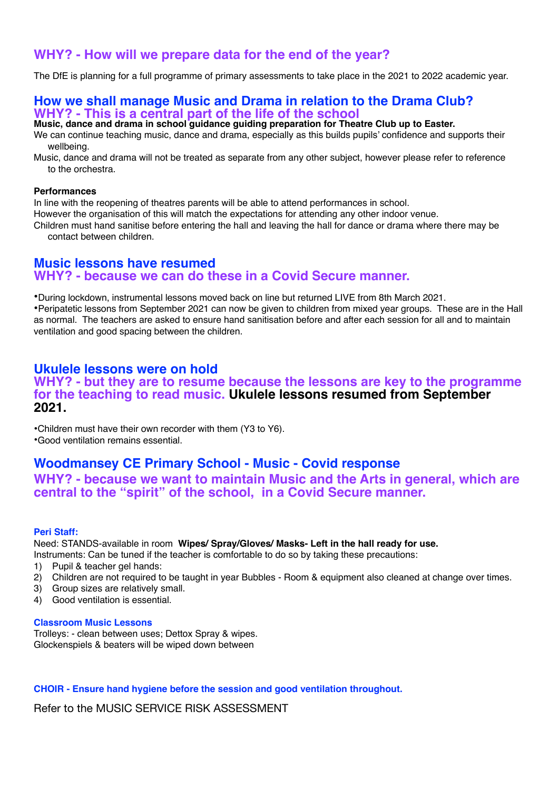### **WHY? - How will we prepare data for the end of the year?**

The DfE is planning for a full programme of primary assessments to take place in the 2021 to 2022 academic year.

### **How we shall manage Music and Drama in relation to the Drama Club? WHY? - This is a central part of the life of the school**

**Music, dance and drama in school guidance guiding preparation for Theatre Club up to Easter.**

We can continue teaching music, dance and drama, especially as this builds pupils' confidence and supports their wellbeing.

Music, dance and drama will not be treated as separate from any other subject, however please refer to reference to the orchestra.

#### **Performances**

In line with the reopening of theatres parents will be able to attend performances in school.

However the organisation of this will match the expectations for attending any other indoor venue.

Children must hand sanitise before entering the hall and leaving the hall for dance or drama where there may be contact between children.

### **Music lessons have resumed WHY? - because we can do these in a Covid Secure manner.**

•During lockdown, instrumental lessons moved back on line but returned LIVE from 8th March 2021. •Peripatetic lessons from September 2021 can now be given to children from mixed year groups. These are in the Hall as normal. The teachers are asked to ensure hand sanitisation before and after each session for all and to maintain ventilation and good spacing between the children.

### **Ukulele lessons were on hold**

#### **WHY? - but they are to resume because the lessons are key to the programme for the teaching to read music. Ukulele lessons resumed from September 2021.**

•Children must have their own recorder with them (Y3 to Y6). •Good ventilation remains essential.

### **Woodmansey CE Primary School - Music - Covid response**

**WHY? - because we want to maintain Music and the Arts in general, which are central to the "spirit" of the school, in a Covid Secure manner.**

#### **Peri Staff:**

Need: STANDS-available in room **Wipes/ Spray/Gloves/ Masks- Left in the hall ready for use.**

Instruments: Can be tuned if the teacher is comfortable to do so by taking these precautions:

- 1) Pupil & teacher gel hands:
- 2) Children are not required to be taught in year Bubbles Room & equipment also cleaned at change over times.
- 3) Group sizes are relatively small.
- 4) Good ventilation is essential.

#### **Classroom Music Lessons**

Trolleys: - clean between uses; Dettox Spray & wipes. Glockenspiels & beaters will be wiped down between

#### **CHOIR - Ensure hand hygiene before the session and good ventilation throughout.**

Refer to the MUSIC SERVICE RISK ASSESSMENT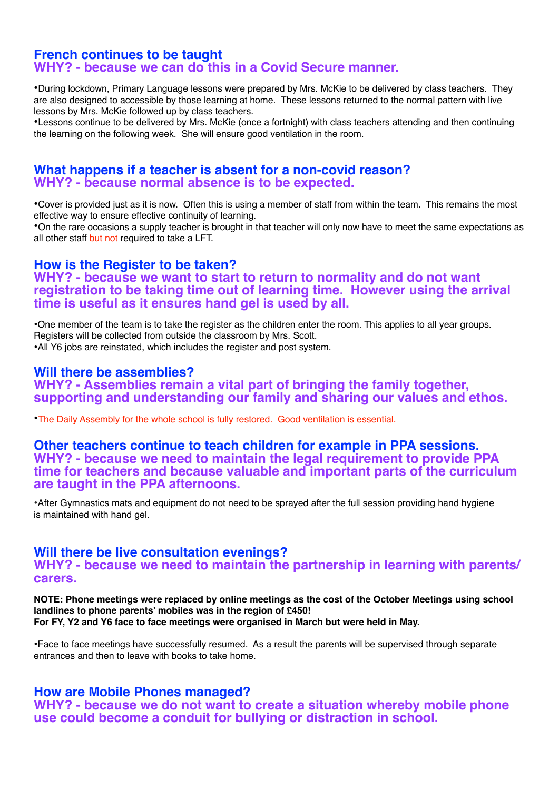#### **French continues to be taught WHY? - because we can do this in a Covid Secure manner.**

•During lockdown, Primary Language lessons were prepared by Mrs. McKie to be delivered by class teachers. They are also designed to accessible by those learning at home. These lessons returned to the normal pattern with live lessons by Mrs. McKie followed up by class teachers.

•Lessons continue to be delivered by Mrs. McKie (once a fortnight) with class teachers attending and then continuing the learning on the following week. She will ensure good ventilation in the room.

### **What happens if a teacher is absent for a non-covid reason? WHY? - because normal absence is to be expected.**

•Cover is provided just as it is now. Often this is using a member of staff from within the team. This remains the most effective way to ensure effective continuity of learning.

•On the rare occasions a supply teacher is brought in that teacher will only now have to meet the same expectations as all other staff but not required to take a LFT.

### **How is the Register to be taken?**

### **WHY? - because we want to start to return to normality and do not want registration to be taking time out of learning time. However using the arrival time is useful as it ensures hand gel is used by all.**

•One member of the team is to take the register as the children enter the room. This applies to all year groups. Registers will be collected from outside the classroom by Mrs. Scott. •All Y6 jobs are reinstated, which includes the register and post system.

### **Will there be assemblies?**

**WHY? - Assemblies remain a vital part of bringing the family together, supporting and understanding our family and sharing our values and ethos.**

•The Daily Assembly for the whole school is fully restored. Good ventilation is essential.

#### **Other teachers continue to teach children for example in PPA sessions. WHY? - because we need to maintain the legal requirement to provide PPA time for teachers and because valuable and important parts of the curriculum are taught in the PPA afternoons.**

•After Gymnastics mats and equipment do not need to be sprayed after the full session providing hand hygiene is maintained with hand gel.

### **Will there be live consultation evenings?**

**WHY? - because we need to maintain the partnership in learning with parents/ carers.**

#### **NOTE: Phone meetings were replaced by online meetings as the cost of the October Meetings using school landlines to phone parents' mobiles was in the region of £450! For FY, Y2 and Y6 face to face meetings were organised in March but were held in May.**

•Face to face meetings have successfully resumed. As a result the parents will be supervised through separate entrances and then to leave with books to take home.

### **How are Mobile Phones managed?**

**WHY? - because we do not want to create a situation whereby mobile phone use could become a conduit for bullying or distraction in school.**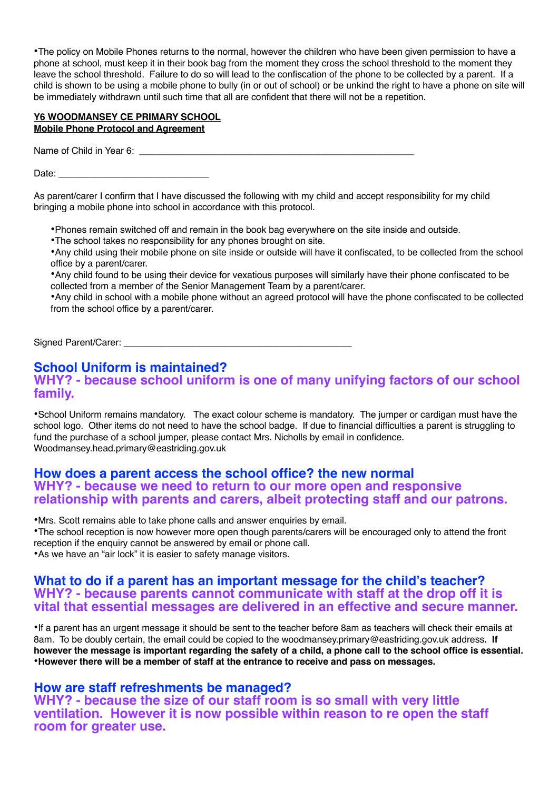•The policy on Mobile Phones returns to the normal, however the children who have been given permission to have a phone at school, must keep it in their book bag from the moment they cross the school threshold to the moment they leave the school threshold. Failure to do so will lead to the confiscation of the phone to be collected by a parent. If a child is shown to be using a mobile phone to bully (in or out of school) or be unkind the right to have a phone on site will be immediately withdrawn until such time that all are confident that there will not be a repetition.

#### **Y6 WOODMANSEY CE PRIMARY SCHOOL Mobile Phone Protocol and Agreement**

Name of Child in Year 6: **We all the Security of Child** in Year 6:

Date: \_\_\_\_\_\_\_\_\_\_\_\_\_\_\_\_\_\_\_\_\_\_\_\_\_\_\_\_\_

As parent/carer I confirm that I have discussed the following with my child and accept responsibility for my child bringing a mobile phone into school in accordance with this protocol.

•Phones remain switched off and remain in the book bag everywhere on the site inside and outside.

•The school takes no responsibility for any phones brought on site.

•Any child using their mobile phone on site inside or outside will have it confiscated, to be collected from the school office by a parent/carer.

•Any child found to be using their device for vexatious purposes will similarly have their phone confiscated to be collected from a member of the Senior Management Team by a parent/carer.

•Any child in school with a mobile phone without an agreed protocol will have the phone confiscated to be collected from the school office by a parent/carer.

Signed Parent/Carer:

#### **School Uniform is maintained? WHY? - because school uniform is one of many unifying factors of our school family.**

•School Uniform remains mandatory. The exact colour scheme is mandatory. The jumper or cardigan must have the school logo. Other items do not need to have the school badge. If due to financial difficulties a parent is struggling to fund the purchase of a school jumper, please contact Mrs. Nicholls by email in confidence. Woodmansey.head.primary@eastriding.gov.uk

### **How does a parent access the school office? the new normal WHY? - because we need to return to our more open and responsive relationship with parents and carers, albeit protecting staff and our patrons.**

•Mrs. Scott remains able to take phone calls and answer enquiries by email.

•The school reception is now however more open though parents/carers will be encouraged only to attend the front reception if the enquiry cannot be answered by email or phone call.

•As we have an "air lock" it is easier to safety manage visitors.

### **What to do if a parent has an important message for the child's teacher? WHY? - because parents cannot communicate with staff at the drop off it is vital that essential messages are delivered in an effective and secure manner.**

•If a parent has an urgent message it should be sent to the teacher before 8am as teachers will check their emails at 8am. To be doubly certain, the email could be copied to the woodmansey.primary@eastriding.gov.uk address**. If however the message is important regarding the safety of a child, a phone call to the school office is essential.** •**However there will be a member of staff at the entrance to receive and pass on messages.** 

### **How are staff refreshments be managed?**

**WHY? - because the size of our staff room is so small with very little ventilation. However it is now possible within reason to re open the staff room for greater use.**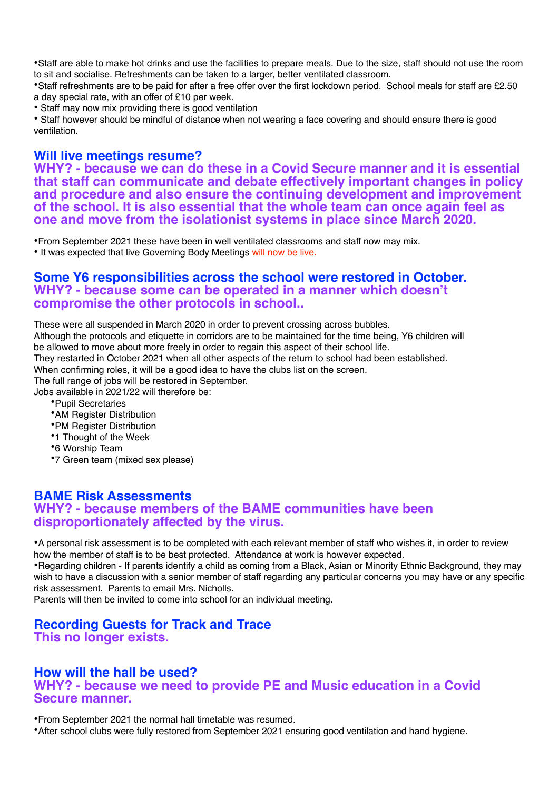•Staff are able to make hot drinks and use the facilities to prepare meals. Due to the size, staff should not use the room to sit and socialise. Refreshments can be taken to a larger, better ventilated classroom.

•Staff refreshments are to be paid for after a free offer over the first lockdown period. School meals for staff are £2.50 a day special rate, with an offer of £10 per week.

• Staff may now mix providing there is good ventilation

• Staff however should be mindful of distance when not wearing a face covering and should ensure there is good ventilation.

### **Will live meetings resume?**

**WHY? - because we can do these in a Covid Secure manner and it is essential that staff can communicate and debate effectively important changes in policy and procedure and also ensure the continuing development and improvement of the school. It is also essential that the whole team can once again feel as one and move from the isolationist systems in place since March 2020.**

•From September 2021 these have been in well ventilated classrooms and staff now may mix. • It was expected that live Governing Body Meetings will now be live.

### **Some Y6 responsibilities across the school were restored in October. WHY? - because some can be operated in a manner which doesn't compromise the other protocols in school..**

These were all suspended in March 2020 in order to prevent crossing across bubbles. Although the protocols and etiquette in corridors are to be maintained for the time being, Y6 children will be allowed to move about more freely in order to regain this aspect of their school life. They restarted in October 2021 when all other aspects of the return to school had been established. When confirming roles, it will be a good idea to have the clubs list on the screen. The full range of jobs will be restored in September. Jobs available in 2021/22 will therefore be: •Pupil Secretaries •AM Register Distribution •PM Register Distribution •1 Thought of the Week •6 Worship Team

•7 Green team (mixed sex please)

### **BAME Risk Assessments WHY? - because members of the BAME communities have been disproportionately affected by the virus.**

•A personal risk assessment is to be completed with each relevant member of staff who wishes it, in order to review how the member of staff is to be best protected. Attendance at work is however expected.

•Regarding children - If parents identify a child as coming from a Black, Asian or Minority Ethnic Background, they may wish to have a discussion with a senior member of staff regarding any particular concerns you may have or any specific risk assessment. Parents to email Mrs. Nicholls.

Parents will then be invited to come into school for an individual meeting.

#### **Recording Guests for Track and Trace This no longer exists.**

### **How will the hall be used?**

**WHY? - because we need to provide PE and Music education in a Covid Secure manner.**

•From September 2021 the normal hall timetable was resumed.

•After school clubs were fully restored from September 2021 ensuring good ventilation and hand hygiene.